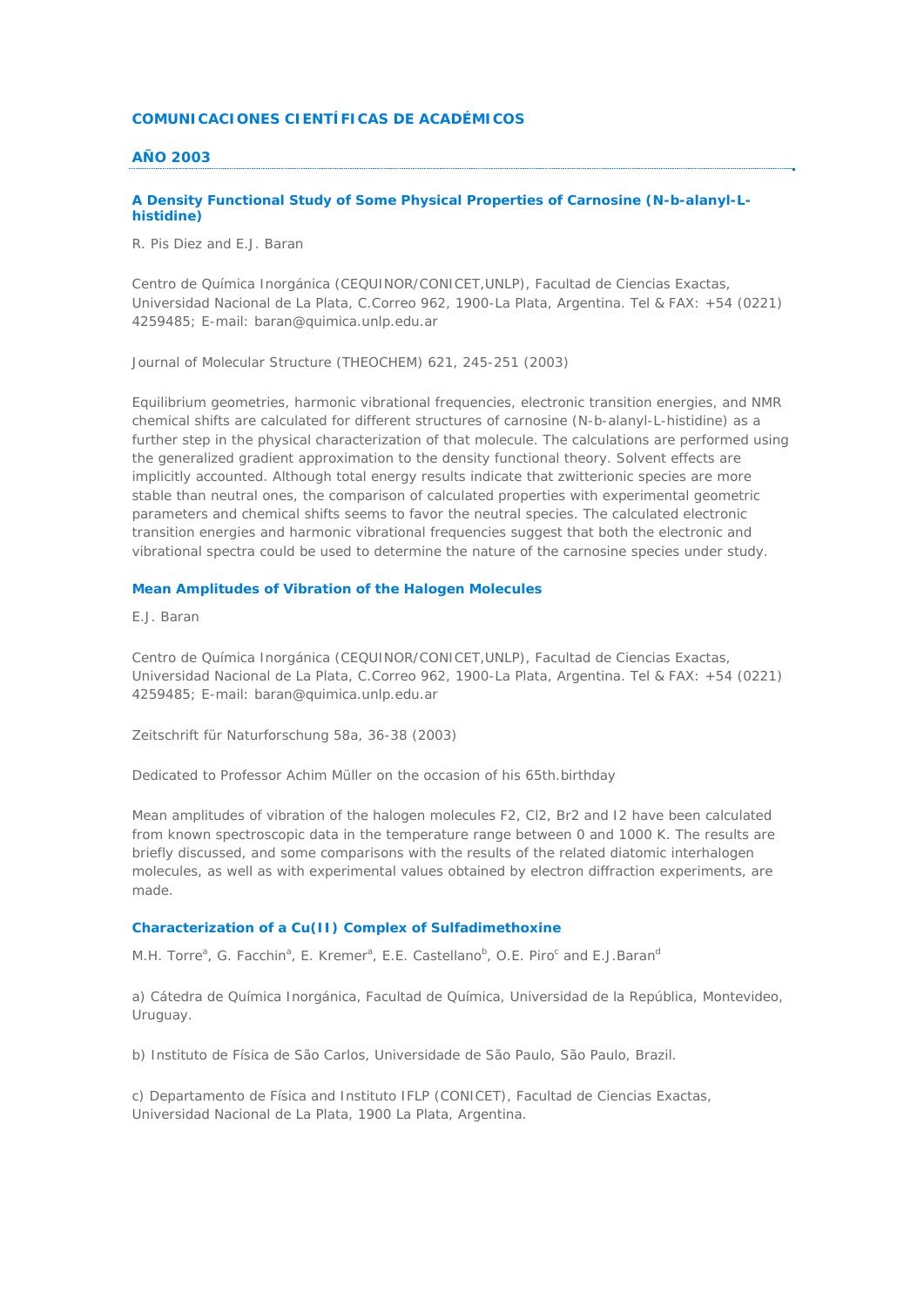## **COMUNICACIONES CIENTÍFICAS DE ACADÉMICOS**

## **AÑO 2003**

## **A Density Functional Study of Some Physical Properties of Carnosine (N-b-alanyl-Lhistidine)**

*R. Pis Diez and E.J. Baran*

Centro de Química Inorgánica (CEQUINOR/CONICET,UNLP), Facultad de Ciencias Exactas, Universidad Nacional de La Plata, C.Correo 962, 1900-La Plata, Argentina. Tel & FAX: +54 (0221) 4259485; E-mail: baran@quimica.unlp.edu.ar

Journal of Molecular Structure (THEOCHEM) 621, 245-251 (2003)

Equilibrium geometries, harmonic vibrational frequencies, electronic transition energies, and NMR chemical shifts are calculated for different structures of carnosine (N-b-alanyl-L-histidine) as a further step in the physical characterization of that molecule. The calculations are performed using the generalized gradient approximation to the density functional theory. Solvent effects are implicitly accounted. Although total energy results indicate that zwitterionic species are more stable than neutral ones, the comparison of calculated properties with experimental geometric parameters and chemical shifts seems to favor the neutral species. The calculated electronic transition energies and harmonic vibrational frequencies suggest that both the electronic and vibrational spectra could be used to determine the nature of the carnosine species under study.

## **Mean Amplitudes of Vibration of the Halogen Molecules**

*E.J. Baran*

Centro de Química Inorgánica (CEQUINOR/CONICET,UNLP), Facultad de Ciencias Exactas, Universidad Nacional de La Plata, C.Correo 962, 1900-La Plata, Argentina. Tel & FAX: +54 (0221) 4259485; E-mail: baran@quimica.unlp.edu.ar

Zeitschrift für Naturforschung 58a, 36-38 (2003)

Dedicated to Professor Achim Müller on the occasion of his 65th.birthday

Mean amplitudes of vibration of the halogen molecules F2, Cl2, Br2 and I2 have been calculated from known spectroscopic data in the temperature range between 0 and 1000 K. The results are briefly discussed, and some comparisons with the results of the related diatomic interhalogen molecules, as well as with experimental values obtained by electron diffraction experiments, are made.

## **Characterization of a Cu(II) Complex of Sulfadimethoxine**

*M.H. Torre<sup>a</sup>, G. Facchin<sup>a</sup>, E. Kremer<sup>a</sup>, E.E. Castellano<sup>b</sup>, O.E. Piro<sup>c</sup> and E.J.Baran<sup>c</sup>* 

a) Cátedra de Química Inorgánica, Facultad de Química, Universidad de la República, Montevideo, Uruguay.

b) Instituto de Física de São Carlos, Universidade de São Paulo, São Paulo, Brazil.

c) Departamento de Física and Instituto IFLP (CONICET), Facultad de Ciencias Exactas, Universidad Nacional de La Plata, 1900 La Plata, Argentina.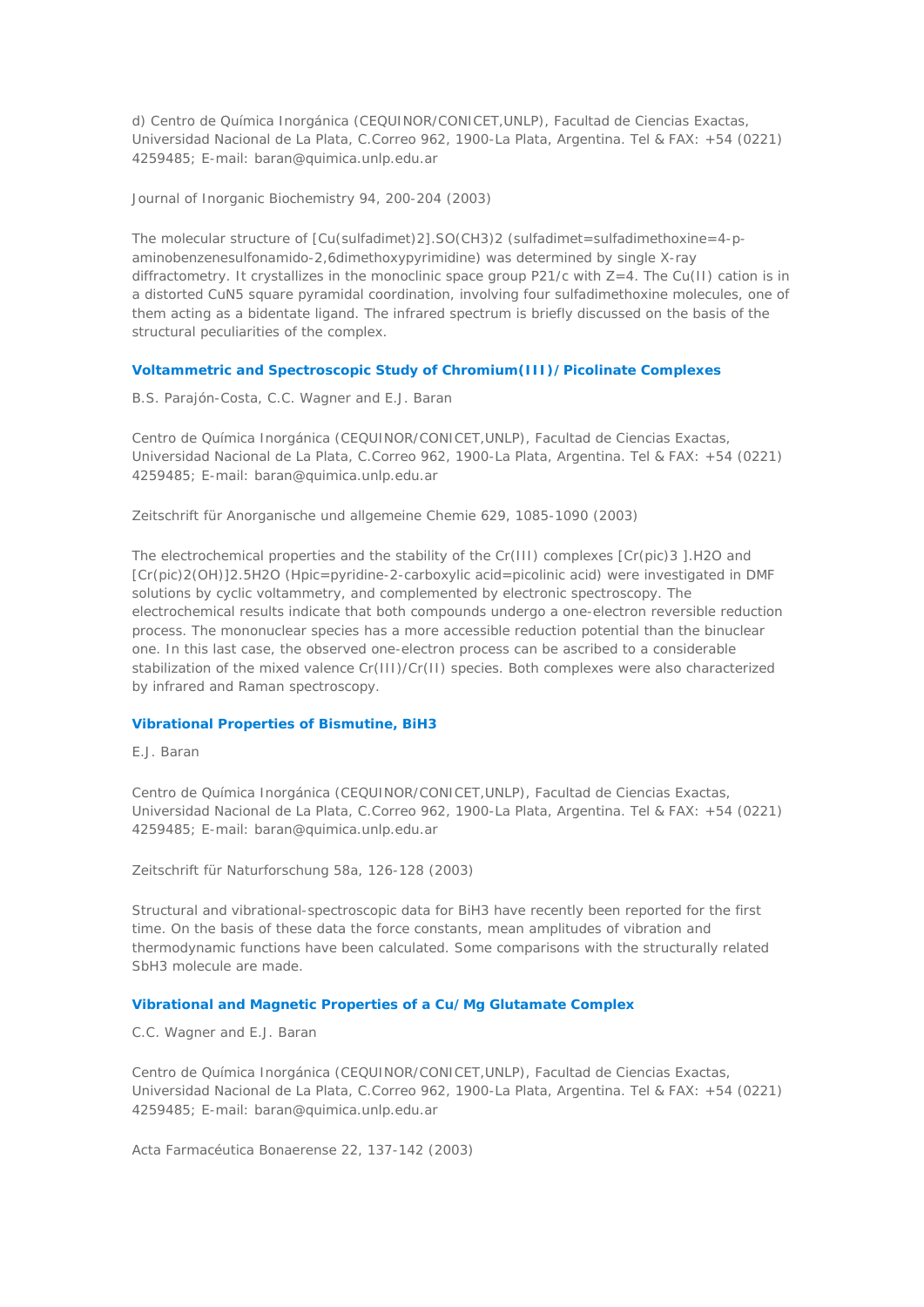d) Centro de Química Inorgánica (CEQUINOR/CONICET,UNLP), Facultad de Ciencias Exactas, Universidad Nacional de La Plata, C.Correo 962, 1900-La Plata, Argentina. Tel & FAX: +54 (0221) 4259485; E-mail: baran@quimica.unlp.edu.ar

Journal of Inorganic Biochemistry 94, 200-204 (2003)

The molecular structure of  $\lceil Cu(sulfadimet)2 \rceil$ .SO(CH3)2 (sulfadimet=sulfadimethoxine=4-paminobenzenesulfonamido-2,6dimethoxypyrimidine) was determined by single X-ray diffractometry. It crystallizes in the monoclinic space group P21/c with Z=4. The Cu(II) cation is in a distorted CuN5 square pyramidal coordination, involving four sulfadimethoxine molecules, one of them acting as a bidentate ligand. The infrared spectrum is briefly discussed on the basis of the structural peculiarities of the complex.

## **Voltammetric and Spectroscopic Study of Chromium(III)/Picolinate Complexes**

## *B.S. Parajón-Costa, C.C. Wagner and E.J. Baran*

Centro de Química Inorgánica (CEQUINOR/CONICET,UNLP), Facultad de Ciencias Exactas, Universidad Nacional de La Plata, C.Correo 962, 1900-La Plata, Argentina. Tel & FAX: +54 (0221) 4259485; E-mail: baran@quimica.unlp.edu.ar

Zeitschrift für Anorganische und allgemeine Chemie 629, 1085-1090 (2003)

The electrochemical properties and the stability of the Cr(III) complexes [Cr(pic)3 ].H2O and [Cr(pic)2(OH)]2.5H2O (Hpic=pyridine-2-carboxylic acid=picolinic acid) were investigated in DMF solutions by cyclic voltammetry, and complemented by electronic spectroscopy. The electrochemical results indicate that both compounds undergo a one-electron reversible reduction process. The mononuclear species has a more accessible reduction potential than the binuclear one. In this last case, the observed one-electron process can be ascribed to a considerable stabilization of the mixed valence Cr(III)/Cr(II) species. Both complexes were also characterized by infrared and Raman spectroscopy.

## **Vibrational Properties of Bismutine, BiH3**

*E.J. Baran*

Centro de Química Inorgánica (CEQUINOR/CONICET,UNLP), Facultad de Ciencias Exactas, Universidad Nacional de La Plata, C.Correo 962, 1900-La Plata, Argentina. Tel & FAX: +54 (0221) 4259485; E-mail: baran@quimica.unlp.edu.ar

Zeitschrift für Naturforschung 58a, 126-128 (2003)

Structural and vibrational-spectroscopic data for BiH3 have recently been reported for the first time. On the basis of these data the force constants, mean amplitudes of vibration and thermodynamic functions have been calculated. Some comparisons with the structurally related SbH3 molecule are made.

### **Vibrational and Magnetic Properties of a Cu/Mg Glutamate Complex**

#### *C.C. Wagner and E.J. Baran*

Centro de Química Inorgánica (CEQUINOR/CONICET,UNLP), Facultad de Ciencias Exactas, Universidad Nacional de La Plata, C.Correo 962, 1900-La Plata, Argentina. Tel & FAX: +54 (0221) 4259485; E-mail: baran@quimica.unlp.edu.ar

Acta Farmacéutica Bonaerense 22, 137-142 (2003)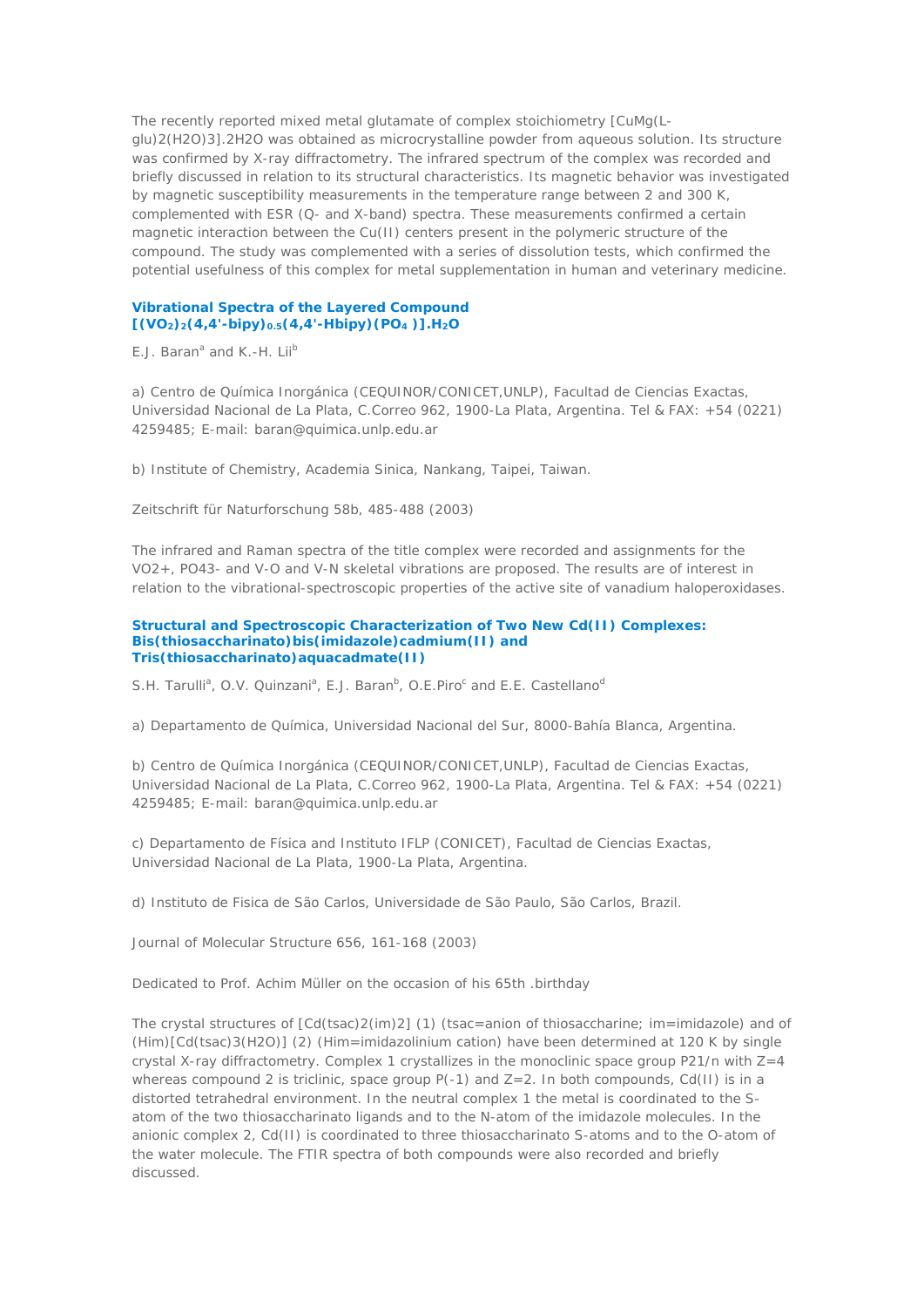The recently reported mixed metal glutamate of complex stoichiometry [CuMg(Lglu)2(H2O)3].2H2O was obtained as microcrystalline powder from aqueous solution. Its structure was confirmed by X-ray diffractometry. The infrared spectrum of the complex was recorded and briefly discussed in relation to its structural characteristics. Its magnetic behavior was investigated by magnetic susceptibility measurements in the temperature range between 2 and 300 K, complemented with ESR (Q- and X-band) spectra. These measurements confirmed a certain magnetic interaction between the Cu(II) centers present in the polymeric structure of the compound. The study was complemented with a series of dissolution tests, which confirmed the potential usefulness of this complex for metal supplementation in human and veterinary medicine.

## **Vibrational Spectra of the Layered Compound [(VO2)2(4,4'-bipy)0.5(4,4'-Hbipy)(PO4 )].H2O**

*E.J. Baran<sup>a</sup> and K.-H. Liib*

a) Centro de Química Inorgánica (CEQUINOR/CONICET,UNLP), Facultad de Ciencias Exactas, Universidad Nacional de La Plata, C.Correo 962, 1900-La Plata, Argentina. Tel & FAX: +54 (0221) 4259485; E-mail: baran@quimica.unlp.edu.ar

b) Institute of Chemistry, Academia Sinica, Nankang, Taipei, Taiwan.

Zeitschrift für Naturforschung 58b, 485-488 (2003)

The infrared and Raman spectra of the title complex were recorded and assignments for the VO2+, PO43- and V-O and V-N skeletal vibrations are proposed. The results are of interest in relation to the vibrational-spectroscopic properties of the active site of vanadium haloperoxidases.

#### **Structural and Spectroscopic Characterization of Two New Cd(II) Complexes: Bis(thiosaccharinato)bis(imidazole)cadmium(II) and Tris(thiosaccharinato)aquacadmate(II)**

S.H. Tarulli<sup>a</sup>, O.V. Quinzani<sup>a</sup>, E.J. Baran<sup>b</sup>, O.E.Piro<sup>c</sup> and E.E. Castellano<sup>d</sup>

a) Departamento de Química, Universidad Nacional del Sur, 8000-Bahía Blanca, Argentina.

b) Centro de Química Inorgánica (CEQUINOR/CONICET,UNLP), Facultad de Ciencias Exactas, Universidad Nacional de La Plata, C.Correo 962, 1900-La Plata, Argentina. Tel & FAX: +54 (0221) 4259485; E-mail: baran@quimica.unlp.edu.ar

c) Departamento de Física and Instituto IFLP (CONICET), Facultad de Ciencias Exactas, Universidad Nacional de La Plata, 1900-La Plata, Argentina.

d) Instituto de Fisica de São Carlos, Universidade de São Paulo, São Carlos, Brazil.

Journal of Molecular Structure 656, 161-168 (2003)

Dedicated to Prof. Achim Müller on the occasion of his 65th .birthday

The crystal structures of  $[Cd(tsac)2(im)2]$  (1) (tsac=anion of thiosaccharine; im=imidazole) and of (Him)[Cd(tsac)3(H2O)] (2) (Him=imidazolinium cation) have been determined at 120 K by single crystal X-ray diffractometry. Complex 1 crystallizes in the monoclinic space group P21/n with Z=4 whereas compound 2 is triclinic, space group  $P(-1)$  and  $Z=2$ . In both compounds, Cd(II) is in a distorted tetrahedral environment. In the neutral complex 1 the metal is coordinated to the Satom of the two thiosaccharinato ligands and to the N-atom of the imidazole molecules. In the anionic complex 2, Cd(II) is coordinated to three thiosaccharinato S-atoms and to the O-atom of the water molecule. The FTIR spectra of both compounds were also recorded and briefly discussed.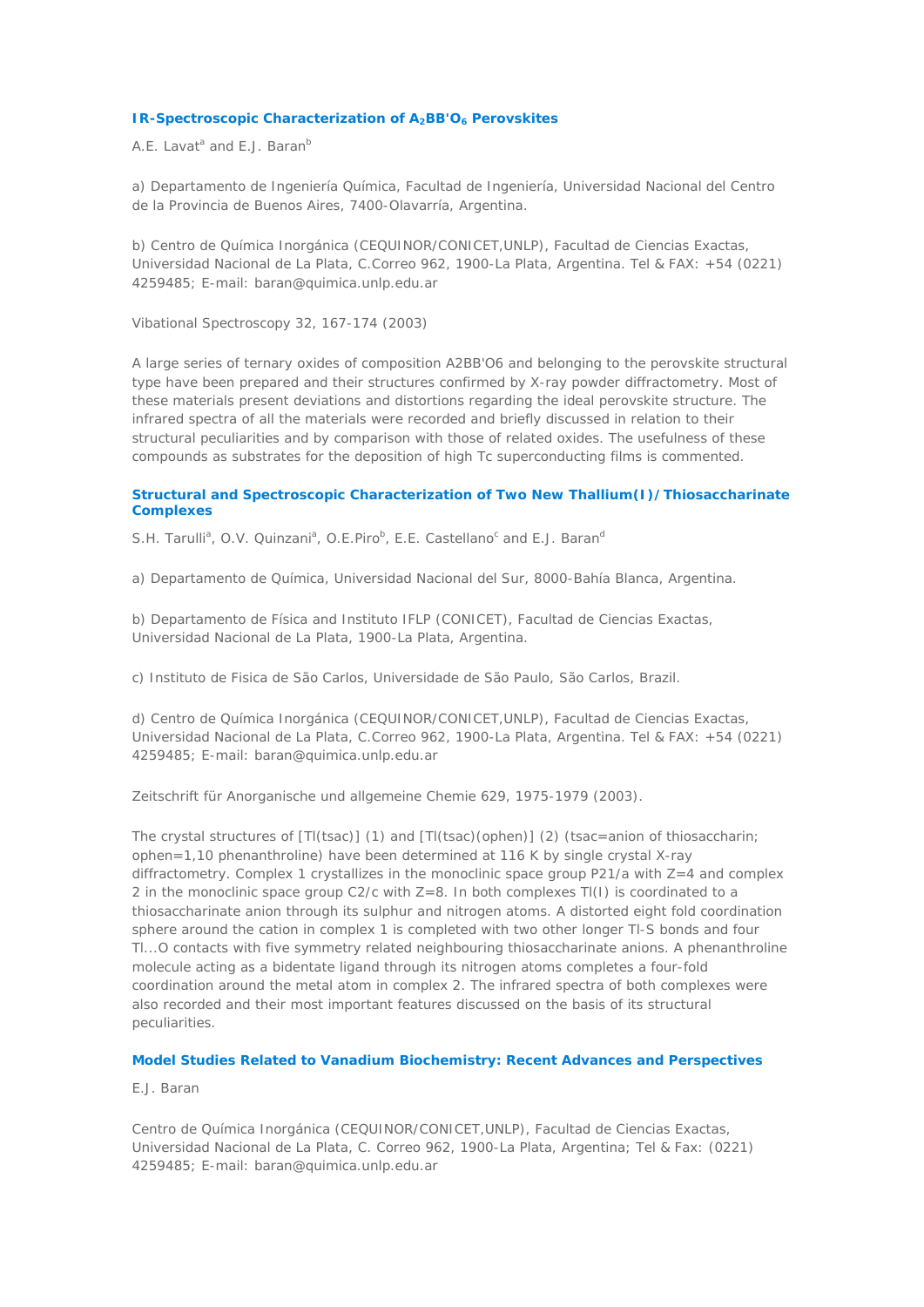### **IR-Spectroscopic Characterization of A<sub>2</sub>BB'O<sub>6</sub> Perovskites**

*A.E. Lavata and E.J. Baranb*

a) Departamento de Ingeniería Química, Facultad de Ingeniería, Universidad Nacional del Centro de la Provincia de Buenos Aires, 7400-Olavarría, Argentina.

b) Centro de Química Inorgánica (CEQUINOR/CONICET,UNLP), Facultad de Ciencias Exactas, Universidad Nacional de La Plata, C.Correo 962, 1900-La Plata, Argentina. Tel & FAX: +54 (0221) 4259485; E-mail: baran@quimica.unlp.edu.ar

Vibational Spectroscopy 32, 167-174 (2003)

A large series of ternary oxides of composition A2BB'O6 and belonging to the perovskite structural type have been prepared and their structures confirmed by X-ray powder diffractometry. Most of these materials present deviations and distortions regarding the ideal perovskite structure. The infrared spectra of all the materials were recorded and briefly discussed in relation to their structural peculiarities and by comparison with those of related oxides. The usefulness of these compounds as substrates for the deposition of high Tc superconducting films is commented.

## **Structural and Spectroscopic Characterization of Two New Thallium(I)/Thiosaccharinate Complexes**

*S.H. Tarulli<sup>a</sup>*, *O.V. Quinzani<sup>a</sup>*, *O.E.Piro*<sup>b</sup>, *E.E. Castellano*<sup>c</sup> and *E.J. Baran<sup>a</sup>* 

a) Departamento de Química, Universidad Nacional del Sur, 8000-Bahía Blanca, Argentina.

b) Departamento de Física and Instituto IFLP (CONICET), Facultad de Ciencias Exactas, Universidad Nacional de La Plata, 1900-La Plata, Argentina.

c) Instituto de Fisica de São Carlos, Universidade de São Paulo, São Carlos, Brazil.

d) Centro de Química Inorgánica (CEQUINOR/CONICET,UNLP), Facultad de Ciencias Exactas, Universidad Nacional de La Plata, C.Correo 962, 1900-La Plata, Argentina. Tel & FAX: +54 (0221) 4259485; E-mail: baran@quimica.unlp.edu.ar

Zeitschrift für Anorganische und allgemeine Chemie 629, 1975-1979 (2003).

The crystal structures of [Tl(tsac)] (1) and [Tl(tsac)(ophen)] (2) (tsac=anion of thiosaccharin; ophen=1,10 phenanthroline) have been determined at 116 K by single crystal X-ray diffractometry. Complex 1 crystallizes in the monoclinic space group P21/a with Z=4 and complex 2 in the monoclinic space group C2/c with Z=8. In both complexes Tl(I) is coordinated to a thiosaccharinate anion through its sulphur and nitrogen atoms. A distorted eight fold coordination sphere around the cation in complex 1 is completed with two other longer Tl-S bonds and four Tl...O contacts with five symmetry related neighbouring thiosaccharinate anions. A phenanthroline molecule acting as a bidentate ligand through its nitrogen atoms completes a four-fold coordination around the metal atom in complex 2. The infrared spectra of both complexes were also recorded and their most important features discussed on the basis of its structural peculiarities.

# **Model Studies Related to Vanadium Biochemistry: Recent Advances and Perspectives**

*E.J. Baran*

Centro de Química Inorgánica (CEQUINOR/CONICET,UNLP), Facultad de Ciencias Exactas, Universidad Nacional de La Plata, C. Correo 962, 1900-La Plata, Argentina; Tel & Fax: (0221) 4259485; E-mail: baran@quimica.unlp.edu.ar